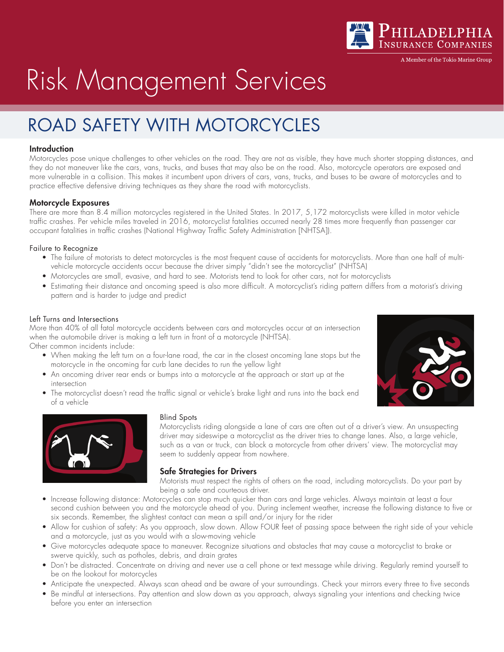

A Member of the Tokio Marine Grour

# Risk Management Services

# ROAD SAFETY WITH MOTORCYCLES

## **Introduction**

Motorcycles pose unique challenges to other vehicles on the road. They are not as visible, they have much shorter stopping distances, and they do not maneuver like the cars, vans, trucks, and buses that may also be on the road. Also, motorcycle operators are exposed and more vulnerable in a collision. This makes it incumbent upon drivers of cars, vans, trucks, and buses to be aware of motorcycles and to practice effective defensive driving techniques as they share the road with motorcyclists.

### Motorcycle Exposures

There are more than 8.4 million motorcycles registered in the United States. In 2017, 5,172 motorcyclists were killed in motor vehicle traffic crashes. Per vehicle miles traveled in 2016, motorcyclist fatalities occurred nearly 28 times more frequently than passenger car occupant fatalities in traffic crashes (National Highway Traffic Safety Administration [NHTSA]).

#### Failure to Recognize

- The failure of motorists to detect motorcycles is the most frequent cause of accidents for motorcyclists. More than one half of multivehicle motorcycle accidents occur because the driver simply "didn't see the motorcyclist" (NHTSA)
- Motorcycles are small, evasive, and hard to see. Motorists tend to look for other cars, not for motorcyclists
- Estimating their distance and oncoming speed is also more difficult. A motorcyclist's riding pattern differs from a motorist's driving pattern and is harder to judge and predict

#### Left Turns and Intersections

More than 40% of all fatal motorcycle accidents between cars and motorcycles occur at an intersection when the automobile driver is making a left turn in front of a motorcycle (NHTSA). Other common incidents include:

- When making the left turn on a four-lane road, the car in the closest oncoming lane stops but the motorcycle in the oncoming far curb lane decides to run the yellow light
- An oncoming driver rear ends or bumps into a motorcycle at the approach or start up at the intersection
- The motorcyclist doesn't read the traffic signal or vehicle's brake light and runs into the back end of a vehicle





#### Blind Spots

Motorcyclists riding alongside a lane of cars are often out of a driver's view. An unsuspecting driver may sideswipe a motorcyclist as the driver tries to change lanes. Also, a large vehicle, such as a van or truck, can block a motorcycle from other drivers' view. The motorcyclist may seem to suddenly appear from nowhere.

### Safe Strategies for Drivers

Motorists must respect the rights of others on the road, including motorcyclists. Do your part by being a safe and courteous driver.

- Increase following distance: Motorcycles can stop much quicker than cars and large vehicles. Always maintain at least a four second cushion between you and the motorcycle ahead of you. During inclement weather, increase the following distance to five or six seconds. Remember, the slightest contact can mean a spill and/or injury for the rider
- Allow for cushion of safety: As you approach, slow down. Allow FOUR feet of passing space between the right side of your vehicle and a motorcycle, just as you would with a slow-moving vehicle
- Give motorcycles adequate space to maneuver. Recognize situations and obstacles that may cause a motorcyclist to brake or swerve quickly, such as potholes, debris, and drain grates
- Don't be distracted. Concentrate on driving and never use a cell phone or text message while driving. Regularly remind yourself to be on the lookout for motorcycles
- Anticipate the unexpected. Always scan ahead and be aware of your surroundings. Check your mirrors every three to five seconds
- Be mindful at intersections. Pay attention and slow down as you approach, always signaling your intentions and checking twice before you enter an intersection